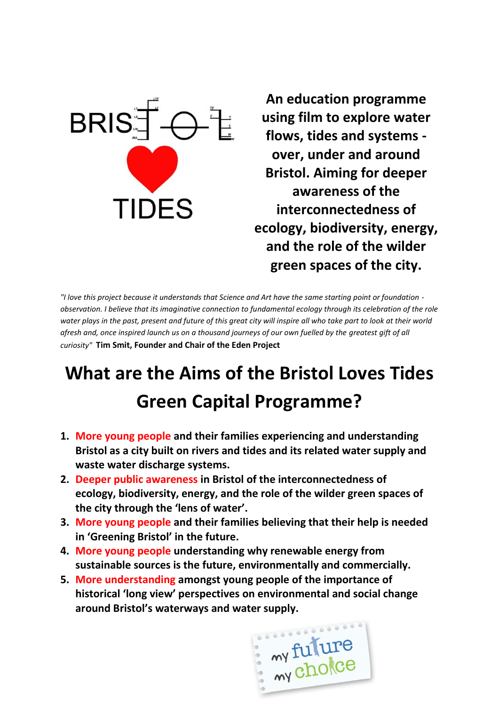

**An education programme using film to explore water flows, tides and systems over, under and around Bristol. Aiming for deeper awareness of the interconnectedness of ecology, biodiversity, energy, and the role of the wilder green spaces of the city.**

*"I love this project because it understands that Science and Art have the same starting point or foundation observation. I believe that its imaginative connection to fundamental ecology through its celebration of the role water plays in the past, present and future of this great city will inspire all who take part to look at their world afresh and, once inspired launch us on a thousand journeys of our own fuelled by the greatest gift of all curiosity"* **Tim Smit, Founder and Chair of the Eden Project**

## **What are the Aims of the Bristol Loves Tides Green Capital Programme?**

- **1. More young people and their families experiencing and understanding Bristol as a city built on rivers and tides and its related water supply and waste water discharge systems.**
- **2. Deeper public awareness in Bristol of the interconnectedness of ecology, biodiversity, energy, and the role of the wilder green spaces of the city through the 'lens of water'.**
- **3. More young people and their families believing that their help is needed in 'Greening Bristol' in the future.**
- **4. More young people understanding why renewable energy from sustainable sources is the future, environmentally and commercially.**
- **5. More understanding amongst young people of the importance of historical 'long view' perspectives on environmental and social change around Bristol's waterways and water supply.**

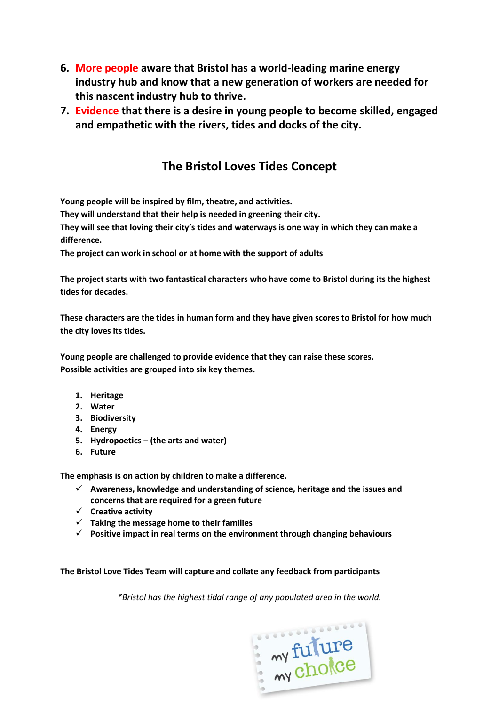- **6. More people aware that Bristol has a world-leading marine energy industry hub and know that a new generation of workers are needed for this nascent industry hub to thrive.**
- **7. Evidence that there is a desire in young people to become skilled, engaged and empathetic with the rivers, tides and docks of the city.**

## **The Bristol Loves Tides Concept**

**Young people will be inspired by film, theatre, and activities.**

**They will understand that their help is needed in greening their city.** 

**They will see that loving their city's tides and waterways is one way in which they can make a difference.**

**The project can work in school or at home with the support of adults**

**The project starts with two fantastical characters who have come to Bristol during its the highest tides for decades.**

**These characters are the tides in human form and they have given scores to Bristol for how much the city loves its tides.**

**Young people are challenged to provide evidence that they can raise these scores. Possible activities are grouped into six key themes.** 

- **1. Heritage**
- **2. Water**
- **3. Biodiversity**
- **4. Energy**
- **5. Hydropoetics – (the arts and water)**
- **6. Future**

**The emphasis is on action by children to make a difference.** 

- **Awareness, knowledge and understanding of science, heritage and the issues and concerns that are required for a green future**
- **Creative activity**
- **Taking the message home to their families**
- **Positive impact in real terms on the environment through changing behaviours**

**The Bristol Love Tides Team will capture and collate any feedback from participants** 

*\*Bristol has the highest tidal range of any populated area in the world.*